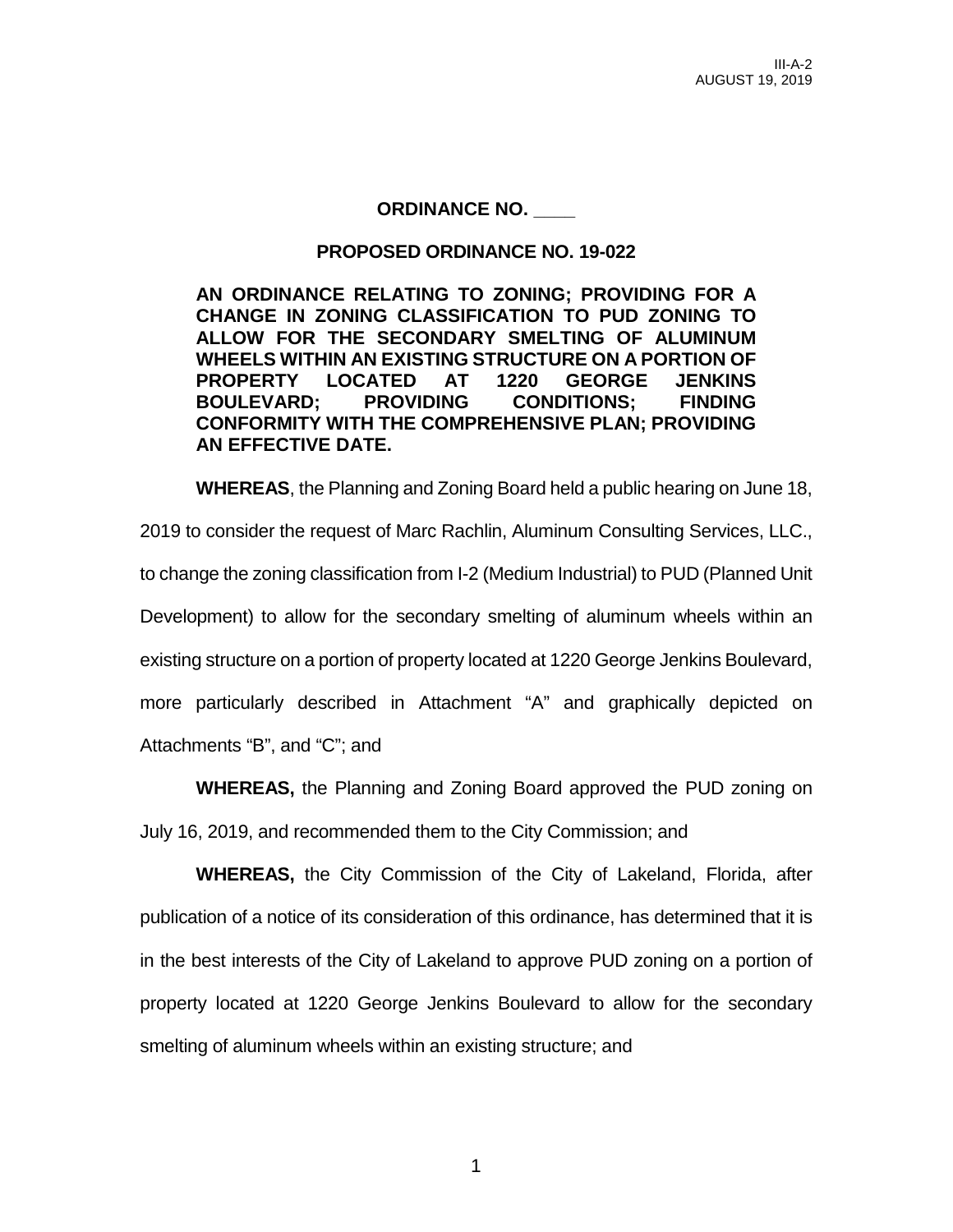## **ORDINANCE NO. \_\_\_\_**

### **PROPOSED ORDINANCE NO. 19-022**

**AN ORDINANCE RELATING TO ZONING; PROVIDING FOR A CHANGE IN ZONING CLASSIFICATION TO PUD ZONING TO ALLOW FOR THE SECONDARY SMELTING OF ALUMINUM WHEELS WITHIN AN EXISTING STRUCTURE ON A PORTION OF PROPERTY LOCATED AT 1220 GEORGE JENKINS BOULEVARD; PROVIDING CONDITIONS; FINDING CONFORMITY WITH THE COMPREHENSIVE PLAN; PROVIDING AN EFFECTIVE DATE.**

**WHEREAS**, the Planning and Zoning Board held a public hearing on June 18, 2019 to consider the request of Marc Rachlin, Aluminum Consulting Services, LLC., to change the zoning classification from I-2 (Medium Industrial) to PUD (Planned Unit Development) to allow for the secondary smelting of aluminum wheels within an existing structure on a portion of property located at 1220 George Jenkins Boulevard, more particularly described in Attachment "A" and graphically depicted on Attachments "B", and "C"; and

**WHEREAS,** the Planning and Zoning Board approved the PUD zoning on July 16, 2019, and recommended them to the City Commission; and

**WHEREAS,** the City Commission of the City of Lakeland, Florida, after publication of a notice of its consideration of this ordinance, has determined that it is in the best interests of the City of Lakeland to approve PUD zoning on a portion of property located at 1220 George Jenkins Boulevard to allow for the secondary smelting of aluminum wheels within an existing structure; and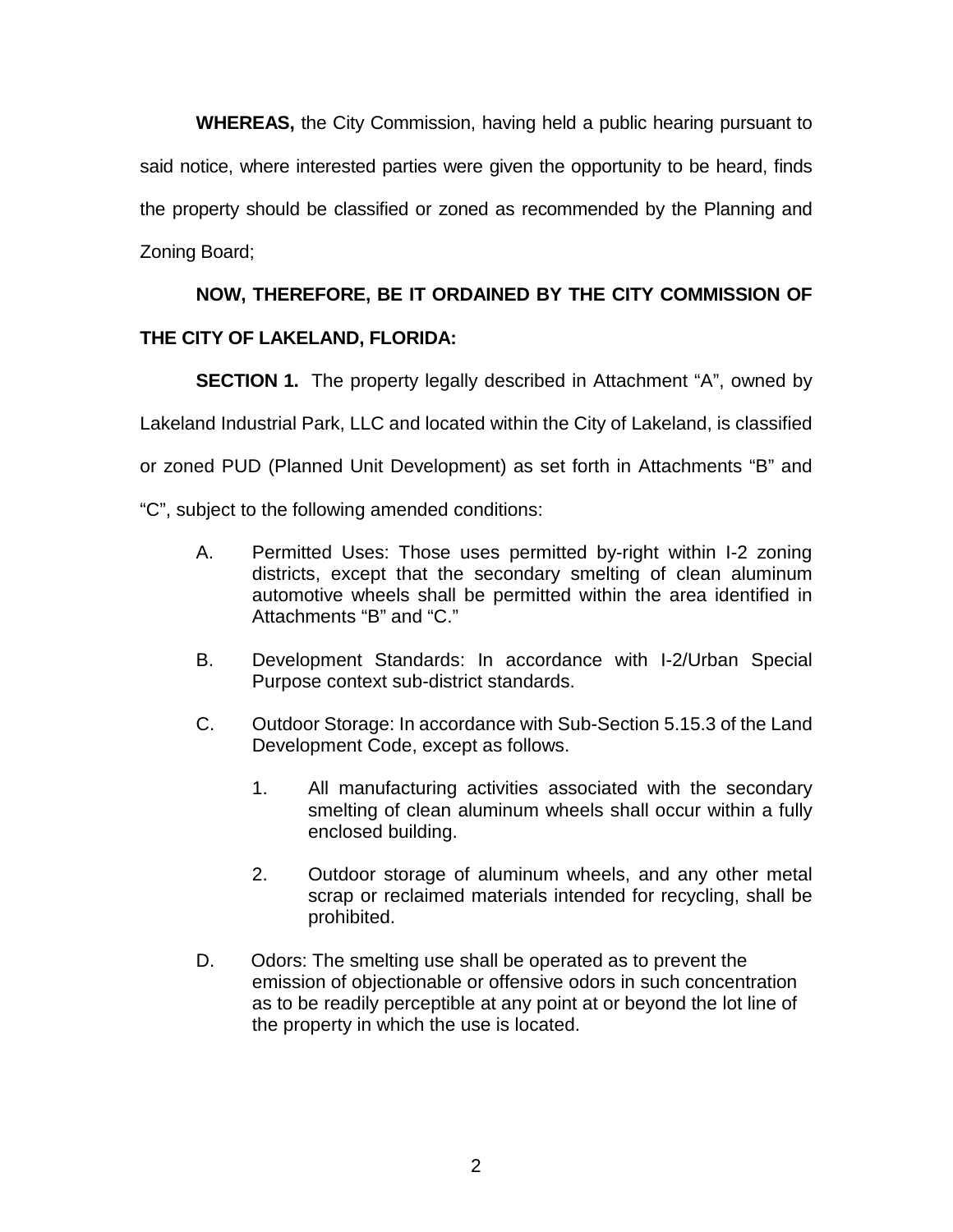**WHEREAS,** the City Commission, having held a public hearing pursuant to said notice, where interested parties were given the opportunity to be heard, finds the property should be classified or zoned as recommended by the Planning and Zoning Board;

# **NOW, THEREFORE, BE IT ORDAINED BY THE CITY COMMISSION OF**

# **THE CITY OF LAKELAND, FLORIDA:**

**SECTION 1.** The property legally described in Attachment "A", owned by Lakeland Industrial Park, LLC and located within the City of Lakeland, is classified or zoned PUD (Planned Unit Development) as set forth in Attachments "B" and

"C", subject to the following amended conditions:

- A. Permitted Uses: Those uses permitted by-right within I-2 zoning districts, except that the secondary smelting of clean aluminum automotive wheels shall be permitted within the area identified in Attachments "B" and "C."
- B. Development Standards: In accordance with I-2/Urban Special Purpose context sub-district standards.
- C. Outdoor Storage: In accordance with Sub-Section 5.15.3 of the Land Development Code, except as follows.
	- 1. All manufacturing activities associated with the secondary smelting of clean aluminum wheels shall occur within a fully enclosed building.
	- 2. Outdoor storage of aluminum wheels, and any other metal scrap or reclaimed materials intended for recycling, shall be prohibited.
- D. Odors: The smelting use shall be operated as to prevent the emission of objectionable or offensive odors in such concentration as to be readily perceptible at any point at or beyond the lot line of the property in which the use is located.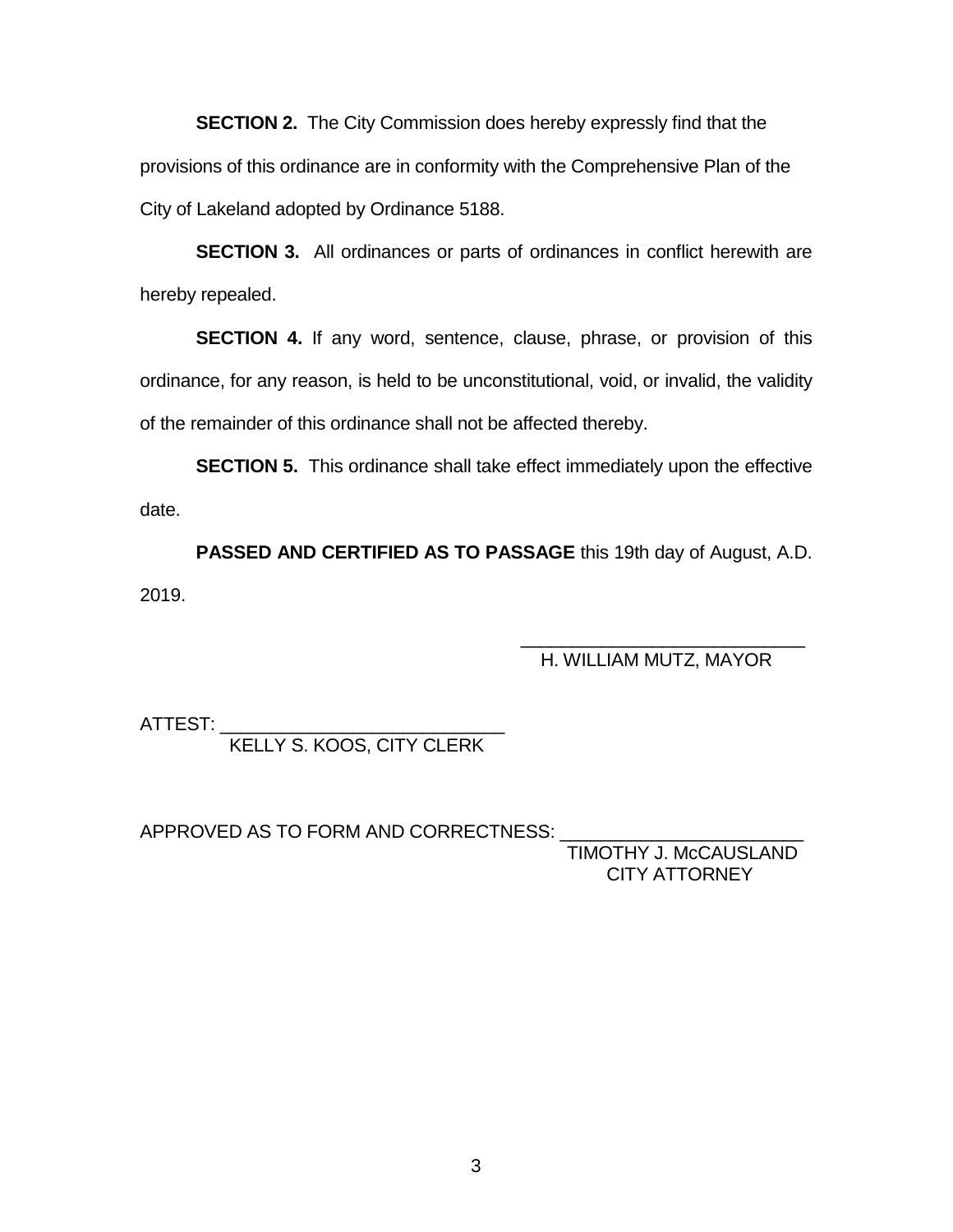**SECTION 2.** The City Commission does hereby expressly find that the provisions of this ordinance are in conformity with the Comprehensive Plan of the City of Lakeland adopted by Ordinance 5188.

**SECTION 3.** All ordinances or parts of ordinances in conflict herewith are hereby repealed.

**SECTION 4.** If any word, sentence, clause, phrase, or provision of this ordinance, for any reason, is held to be unconstitutional, void, or invalid, the validity of the remainder of this ordinance shall not be affected thereby.

**SECTION 5.** This ordinance shall take effect immediately upon the effective date.

**PASSED AND CERTIFIED AS TO PASSAGE** this 19th day of August, A.D. 2019.

#### $\overline{\phantom{a}}$  ,  $\overline{\phantom{a}}$  ,  $\overline{\phantom{a}}$  ,  $\overline{\phantom{a}}$  ,  $\overline{\phantom{a}}$  ,  $\overline{\phantom{a}}$  ,  $\overline{\phantom{a}}$  ,  $\overline{\phantom{a}}$  ,  $\overline{\phantom{a}}$  ,  $\overline{\phantom{a}}$  ,  $\overline{\phantom{a}}$  ,  $\overline{\phantom{a}}$  ,  $\overline{\phantom{a}}$  ,  $\overline{\phantom{a}}$  ,  $\overline{\phantom{a}}$  ,  $\overline{\phantom{a}}$ H. WILLIAM MUTZ, MAYOR

ATTEST: \_\_\_\_\_\_\_\_\_\_\_\_\_\_\_\_\_\_\_\_\_\_\_\_\_\_\_\_

KELLY S. KOOS, CITY CLERK

APPROVED AS TO FORM AND CORRECTNESS:

 TIMOTHY J. McCAUSLAND CITY ATTORNEY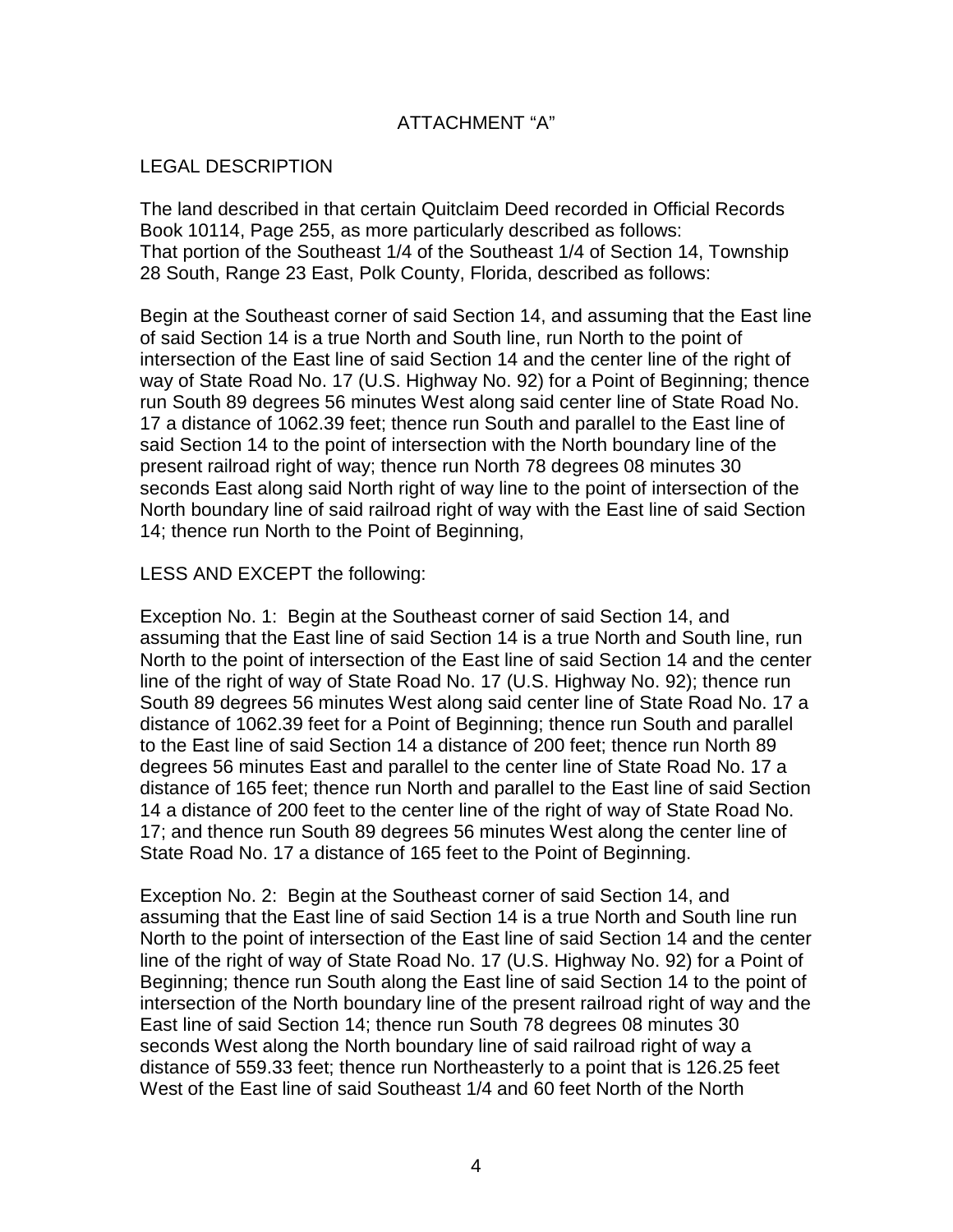# ATTACHMENT "A"

## LEGAL DESCRIPTION

The land described in that certain Quitclaim Deed recorded in Official Records Book 10114, Page 255, as more particularly described as follows: That portion of the Southeast 1/4 of the Southeast 1/4 of Section 14, Township 28 South, Range 23 East, Polk County, Florida, described as follows:

Begin at the Southeast corner of said Section 14, and assuming that the East line of said Section 14 is a true North and South line, run North to the point of intersection of the East line of said Section 14 and the center line of the right of way of State Road No. 17 (U.S. Highway No. 92) for a Point of Beginning; thence run South 89 degrees 56 minutes West along said center line of State Road No. 17 a distance of 1062.39 feet; thence run South and parallel to the East line of said Section 14 to the point of intersection with the North boundary line of the present railroad right of way; thence run North 78 degrees 08 minutes 30 seconds East along said North right of way line to the point of intersection of the North boundary line of said railroad right of way with the East line of said Section 14; thence run North to the Point of Beginning,

### LESS AND EXCEPT the following:

Exception No. 1: Begin at the Southeast corner of said Section 14, and assuming that the East line of said Section 14 is a true North and South line, run North to the point of intersection of the East line of said Section 14 and the center line of the right of way of State Road No. 17 (U.S. Highway No. 92); thence run South 89 degrees 56 minutes West along said center line of State Road No. 17 a distance of 1062.39 feet for a Point of Beginning; thence run South and parallel to the East line of said Section 14 a distance of 200 feet; thence run North 89 degrees 56 minutes East and parallel to the center line of State Road No. 17 a distance of 165 feet; thence run North and parallel to the East line of said Section 14 a distance of 200 feet to the center line of the right of way of State Road No. 17; and thence run South 89 degrees 56 minutes West along the center line of State Road No. 17 a distance of 165 feet to the Point of Beginning.

Exception No. 2: Begin at the Southeast corner of said Section 14, and assuming that the East line of said Section 14 is a true North and South line run North to the point of intersection of the East line of said Section 14 and the center line of the right of way of State Road No. 17 (U.S. Highway No. 92) for a Point of Beginning; thence run South along the East line of said Section 14 to the point of intersection of the North boundary line of the present railroad right of way and the East line of said Section 14; thence run South 78 degrees 08 minutes 30 seconds West along the North boundary line of said railroad right of way a distance of 559.33 feet; thence run Northeasterly to a point that is 126.25 feet West of the East line of said Southeast 1/4 and 60 feet North of the North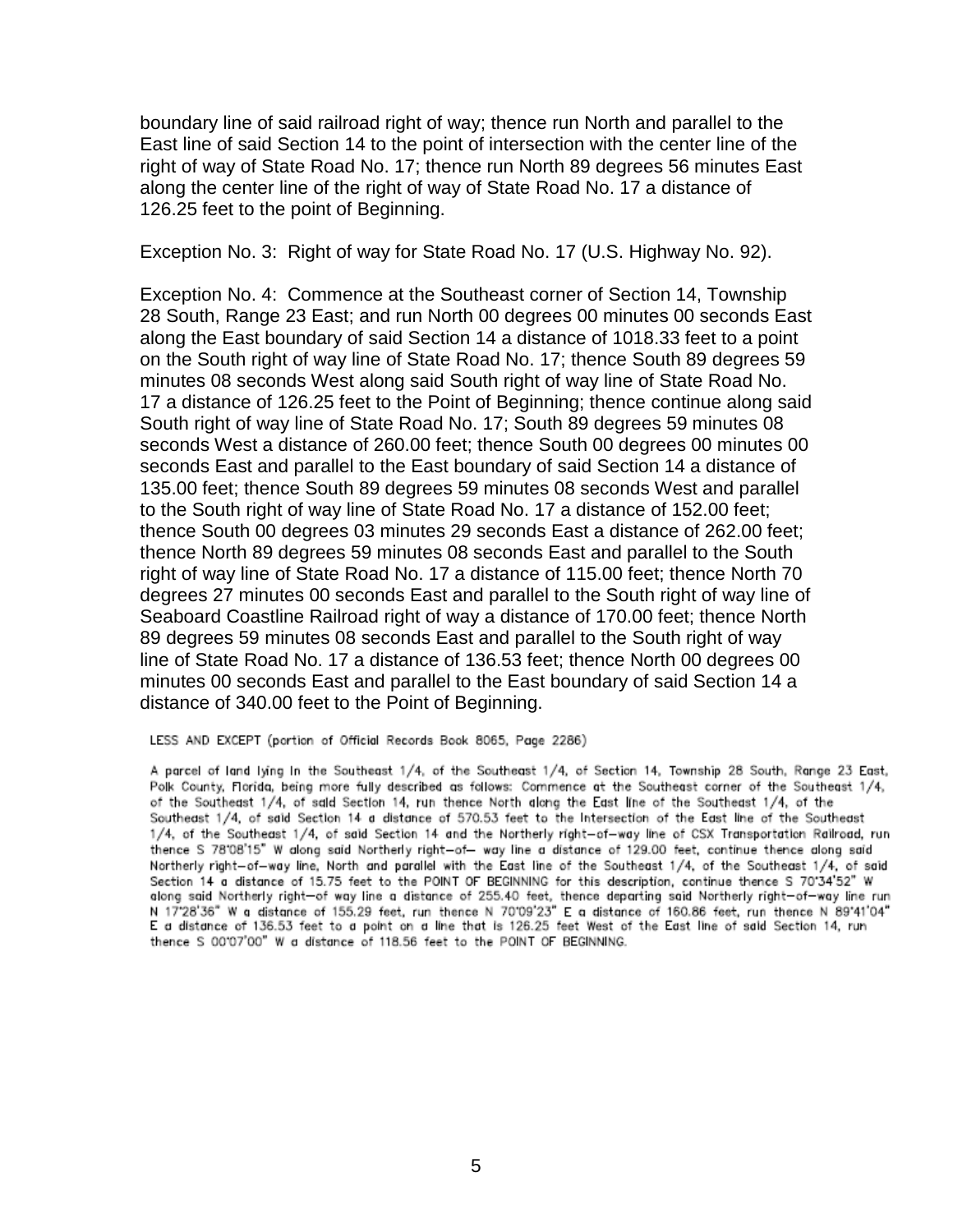boundary line of said railroad right of way; thence run North and parallel to the East line of said Section 14 to the point of intersection with the center line of the right of way of State Road No. 17; thence run North 89 degrees 56 minutes East along the center line of the right of way of State Road No. 17 a distance of 126.25 feet to the point of Beginning.

Exception No. 3: Right of way for State Road No. 17 (U.S. Highway No. 92).

Exception No. 4: Commence at the Southeast corner of Section 14, Township 28 South, Range 23 East; and run North 00 degrees 00 minutes 00 seconds East along the East boundary of said Section 14 a distance of 1018.33 feet to a point on the South right of way line of State Road No. 17; thence South 89 degrees 59 minutes 08 seconds West along said South right of way line of State Road No. 17 a distance of 126.25 feet to the Point of Beginning; thence continue along said South right of way line of State Road No. 17; South 89 degrees 59 minutes 08 seconds West a distance of 260.00 feet; thence South 00 degrees 00 minutes 00 seconds East and parallel to the East boundary of said Section 14 a distance of 135.00 feet; thence South 89 degrees 59 minutes 08 seconds West and parallel to the South right of way line of State Road No. 17 a distance of 152.00 feet; thence South 00 degrees 03 minutes 29 seconds East a distance of 262.00 feet; thence North 89 degrees 59 minutes 08 seconds East and parallel to the South right of way line of State Road No. 17 a distance of 115.00 feet; thence North 70 degrees 27 minutes 00 seconds East and parallel to the South right of way line of Seaboard Coastline Railroad right of way a distance of 170.00 feet; thence North 89 degrees 59 minutes 08 seconds East and parallel to the South right of way line of State Road No. 17 a distance of 136.53 feet; thence North 00 degrees 00 minutes 00 seconds East and parallel to the East boundary of said Section 14 a distance of 340.00 feet to the Point of Beginning.

LESS AND EXCEPT (portion of Official Records Book 8065, Page 2286)

A parcel of land lying In the Southeast 1/4, of the Southeast 1/4, of Section 14, Township 28 South, Range 23 East, Polk County, Florida, being more fully described as follows: Commence at the Southeast corner of the Southeast 1/4, of the Southeast 1/4, of said Section 14, run thence North along the East line of the Southeast 1/4, of the Southeast 1/4, of said Section 14 a distance of 570.53 feet to the Intersection of the East line of the Southeast 1/4, of the Southeast 1/4, of said Section 14 and the Northerly right-of-way line of CSX Transportation Railroad, run thence S 78'08'15" W along said Northerly right-of- way line a distance of 129.00 feet, continue thence along said Northerly right-of-way line, North and parallel with the East line of the Southeast 1/4, of the Southeast 1/4, of said Section 14 a distance of 15.75 feet to the POINT OF BEGINNING for this description, continue thence S 70'34'52" W dong said Northerly right-of way line a distance of 255.40 feet, thence departing said Northerly right-of-way line run<br>N 17'28'36" W a distance of 155.29 feet, run thence N 70'09'23" E a distance of 160.86 feet, run thence thence S 00'07'00" W a distance of 118.56 feet to the POINT OF BEGINNING.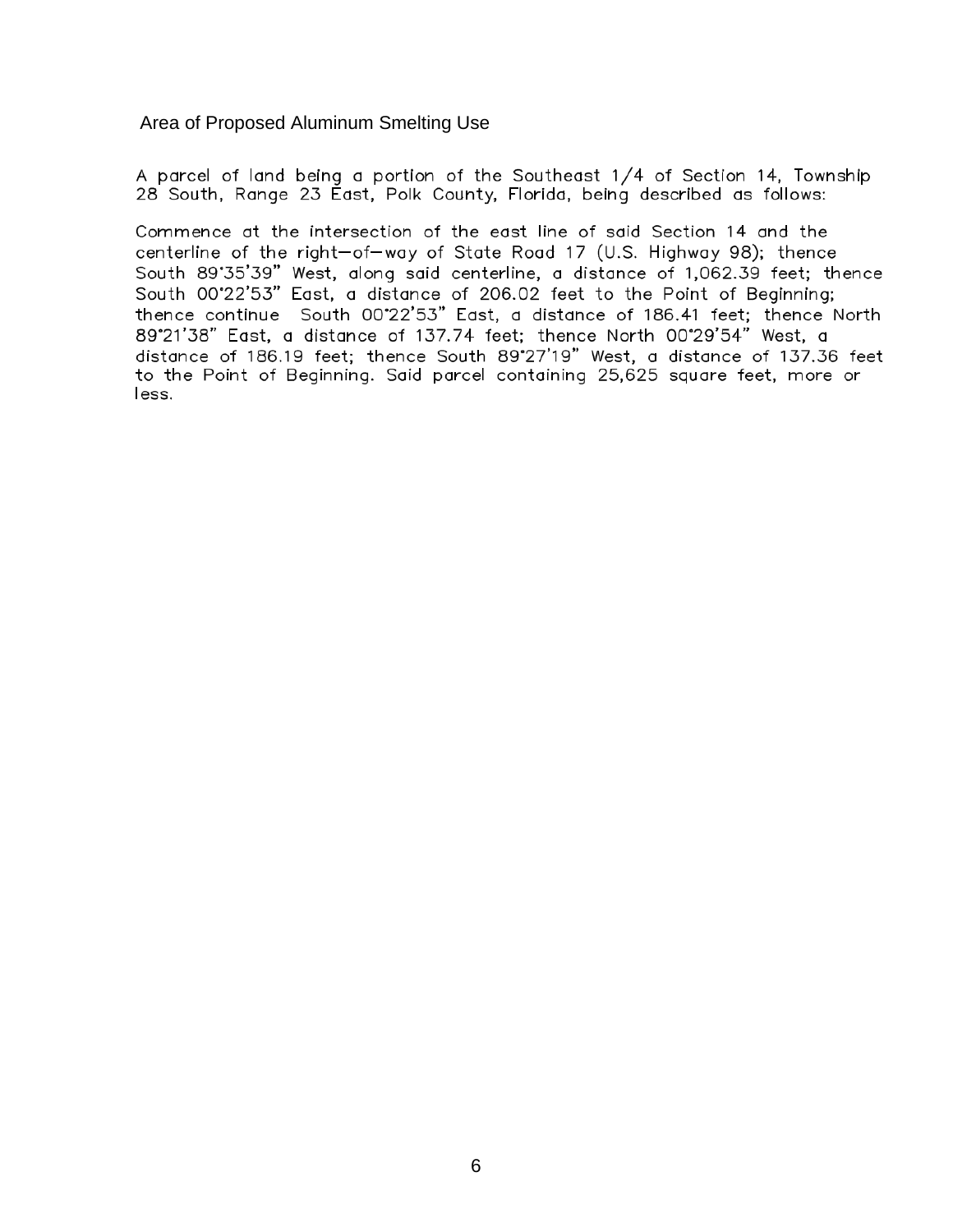Area of Proposed Aluminum Smelting Use

A parcel of land being a portion of the Southeast 1/4 of Section 14, Township 28 South, Range 23 East, Polk County, Florida, being described as follows:

Commence at the intersection of the east line of said Section 14 and the centerline of the right-of-way of State Road 17 (U.S. Highway 98); thence South 89°35'39" West, along said centerline, a distance of 1,062.39 feet; thence South 00°22'53" East, a distance of 206.02 feet to the Point of Beginning; thence continue South 00°22'53" East, a distance of 186.41 feet; thence North 89°21'38" East, a distance of 137.74 feet; thence North 00°29'54" West, a distance of 186.19 feet; thence South 89°27'19" West, a distance of 137.36 feet to the Point of Beginning. Said parcel containing 25,625 square feet, more or less.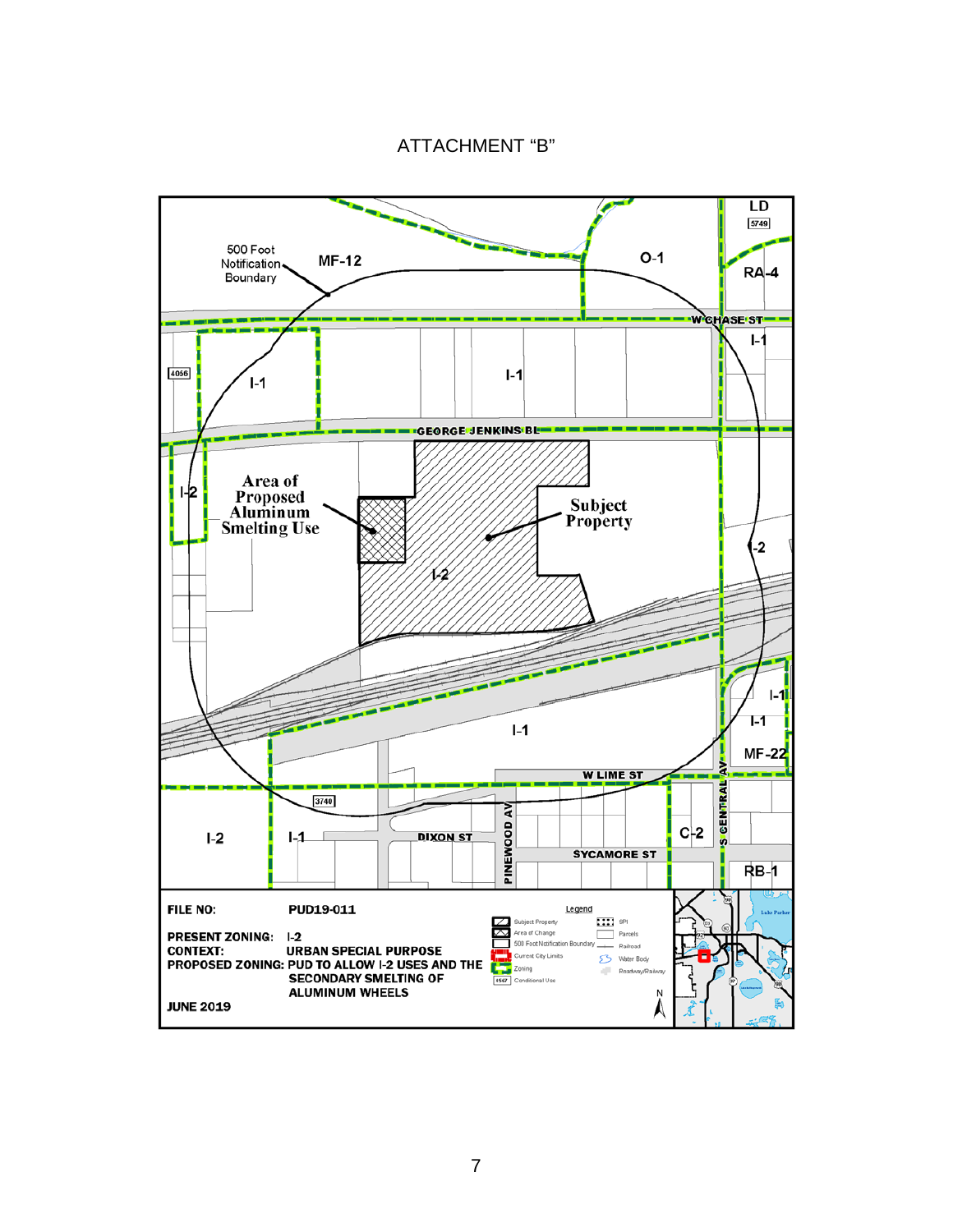ATTACHMENT "B"